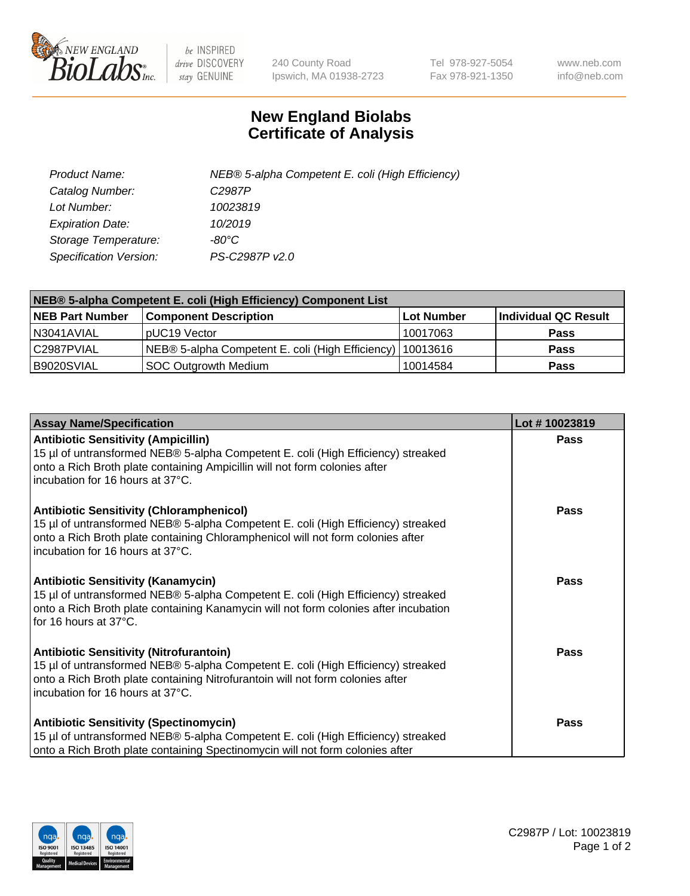

 $be$  INSPIRED drive DISCOVERY stay GENUINE

240 County Road Ipswich, MA 01938-2723 Tel 978-927-5054 Fax 978-921-1350 www.neb.com info@neb.com

## **New England Biolabs Certificate of Analysis**

| Product Name:           | NEB® 5-alpha Competent E. coli (High Efficiency) |
|-------------------------|--------------------------------------------------|
| Catalog Number:         | C <sub>2987</sub> P                              |
| Lot Number:             | 10023819                                         |
| <b>Expiration Date:</b> | 10/2019                                          |
| Storage Temperature:    | -80°C                                            |
| Specification Version:  | PS-C2987P v2.0                                   |

| NEB® 5-alpha Competent E. coli (High Efficiency) Component List |                                                             |            |                      |  |
|-----------------------------------------------------------------|-------------------------------------------------------------|------------|----------------------|--|
| <b>NEB Part Number</b>                                          | <b>Component Description</b>                                | Lot Number | Individual QC Result |  |
| N3041AVIAL                                                      | pUC19 Vector                                                | 10017063   | <b>Pass</b>          |  |
| C2987PVIAL                                                      | NEB® 5-alpha Competent E. coli (High Efficiency)   10013616 |            | <b>Pass</b>          |  |
| B9020SVIAL                                                      | <b>SOC Outgrowth Medium</b>                                 | 10014584   | <b>Pass</b>          |  |

| <b>Assay Name/Specification</b>                                                                                                                                                                                                                            | Lot #10023819 |
|------------------------------------------------------------------------------------------------------------------------------------------------------------------------------------------------------------------------------------------------------------|---------------|
| <b>Antibiotic Sensitivity (Ampicillin)</b><br>15 µl of untransformed NEB® 5-alpha Competent E. coli (High Efficiency) streaked<br>onto a Rich Broth plate containing Ampicillin will not form colonies after<br>incubation for 16 hours at 37°C.           | <b>Pass</b>   |
| <b>Antibiotic Sensitivity (Chloramphenicol)</b><br>15 µl of untransformed NEB® 5-alpha Competent E. coli (High Efficiency) streaked<br>onto a Rich Broth plate containing Chloramphenicol will not form colonies after<br>incubation for 16 hours at 37°C. | Pass          |
| Antibiotic Sensitivity (Kanamycin)<br>15 µl of untransformed NEB® 5-alpha Competent E. coli (High Efficiency) streaked<br>onto a Rich Broth plate containing Kanamycin will not form colonies after incubation<br>for 16 hours at 37°C.                    | Pass          |
| <b>Antibiotic Sensitivity (Nitrofurantoin)</b><br>15 µl of untransformed NEB® 5-alpha Competent E. coli (High Efficiency) streaked<br>onto a Rich Broth plate containing Nitrofurantoin will not form colonies after<br>incubation for 16 hours at 37°C.   | <b>Pass</b>   |
| <b>Antibiotic Sensitivity (Spectinomycin)</b><br>15 µl of untransformed NEB® 5-alpha Competent E. coli (High Efficiency) streaked<br>onto a Rich Broth plate containing Spectinomycin will not form colonies after                                         | Pass          |